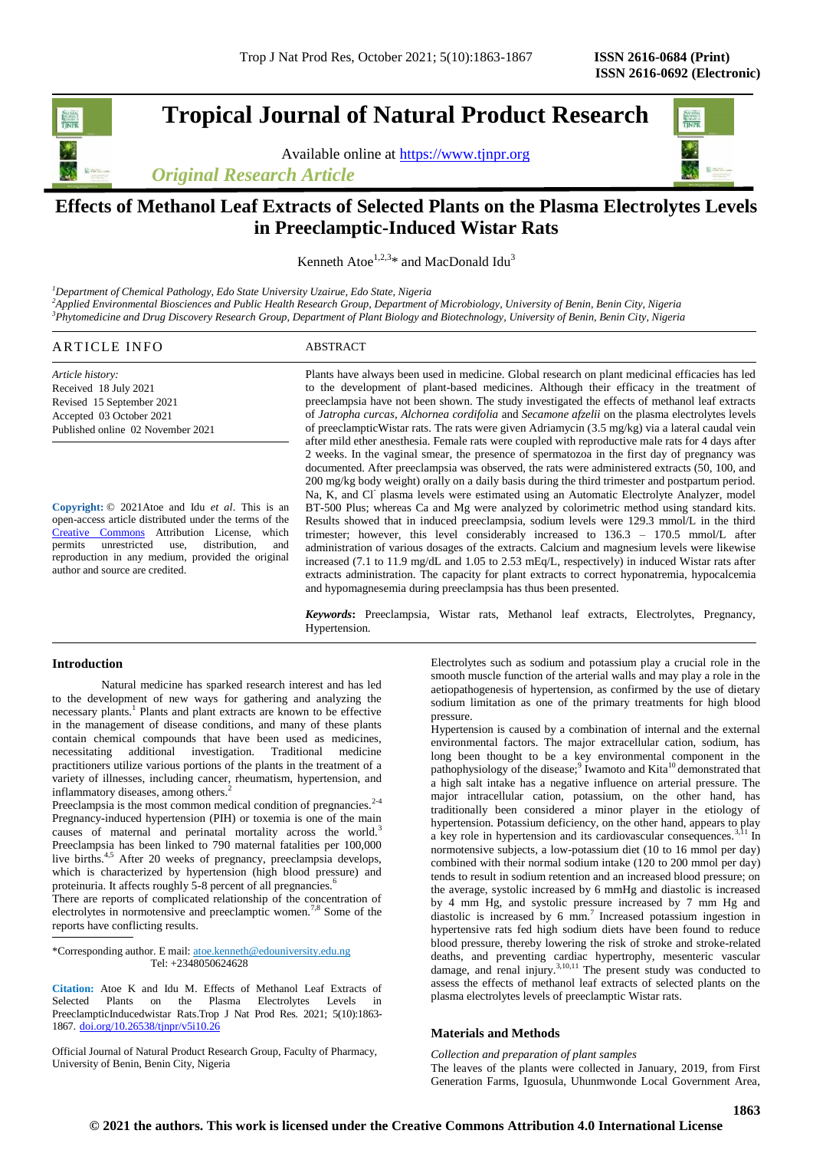**Tropical Journal of Natural Product Research**

Available online at [https://www.tjnpr.org](https://www.tjnpr.org/)

*Original Research Article*



# **Effects of Methanol Leaf Extracts of Selected Plants on the Plasma Electrolytes Levels in Preeclamptic-Induced Wistar Rats**

Kenneth Atoe<sup>1,2,3\*</sup> and MacDonald Idu<sup>3</sup>

*<sup>1</sup>Department of Chemical Pathology, Edo State University Uzairue, Edo State, Nigeria <sup>2</sup>Applied Environmental Biosciences and Public Health Research Group, Department of Microbiology, University of Benin, Benin City, Nigeria <sup>3</sup>Phytomedicine and Drug Discovery Research Group, Department of Plant Biology and Biotechnology, University of Benin, Benin City, Nigeria*

# ARTICLE INFO ABSTRACT

*Article history:* Received 18 July 2021 Revised 15 September 2021 Accepted 03 October 2021 Published online 02 November 2021

**Copyright:** © 2021Atoe and Idu *et al*. This is an open-access article distributed under the terms of the [Creative Commons](https://creativecommons.org/licenses/by/4.0/) Attribution License, which permits unrestricted use, distribution, and reproduction in any medium, provided the original author and source are credited.

Plants have always been used in medicine. Global research on plant medicinal efficacies has led to the development of plant-based medicines. Although their efficacy in the treatment of preeclampsia have not been shown. The study investigated the effects of methanol leaf extracts of *Jatropha curcas, Alchornea cordifolia* and *Secamone afzelii* on the plasma electrolytes levels of preeclampticWistar rats. The rats were given Adriamycin (3.5 mg/kg) via a lateral caudal vein after mild ether anesthesia. Female rats were coupled with reproductive male rats for 4 days after 2 weeks. In the vaginal smear, the presence of spermatozoa in the first day of pregnancy was documented. After preeclampsia was observed, the rats were administered extracts (50, 100, and 200 mg/kg body weight) orally on a daily basis during the third trimester and postpartum period. Na, K, and Cl<sup>-</sup> plasma levels were estimated using an Automatic Electrolyte Analyzer, model BT-500 Plus; whereas Ca and Mg were analyzed by colorimetric method using standard kits. Results showed that in induced preeclampsia, sodium levels were 129.3 mmol/L in the third trimester; however, this level considerably increased to 136.3 – 170.5 mmol/L after administration of various dosages of the extracts. Calcium and magnesium levels were likewise increased (7.1 to 11.9 mg/dL and 1.05 to 2.53 mEq/L, respectively) in induced Wistar rats after extracts administration. The capacity for plant extracts to correct [hyponatremia,](https://www.google.com/search?q=hyponatremia&spell=1&sa=X&ved=2ahUKEwjOmvX3r5rzAhXBA2MBHa7cAVcQkeECKAB6BAgBEC8) hypocalcemia and hypomagnesemia during preeclampsia has thus been presented.

*Keywords***:** Preeclampsia, Wistar rats, Methanol leaf extracts, Electrolytes, Pregnancy, Hypertension.

# **Introduction**

Natural medicine has sparked research interest and has led to the development of new ways for gathering and analyzing the necessary plants.<sup>1</sup> Plants and plant extracts are known to be effective in the management of disease conditions, and many of these plants contain chemical compounds that have been used as medicines, necessitating additional investigation. Traditional medicine practitioners utilize various portions of the plants in the treatment of a variety of illnesses, including cancer, rheumatism, hypertension, and inflammatory diseases, among others.<sup>2</sup>

Preeclampsia is the most common medical condition of pregnancies. $2-4$ Pregnancy-induced hypertension (PIH) or toxemia is one of the main causes of maternal and perinatal mortality across the world.<sup>3</sup> Preeclampsia has been linked to 790 maternal fatalities per 100,000 live births.<sup>4,5</sup> After 20 weeks of pregnancy, preeclampsia develops, which is characterized by hypertension (high blood pressure) and proteinuria. It affects roughly 5-8 percent of all pregnancies.<sup>6</sup>

There are reports of complicated relationship of the concentration of electrolytes in normotensive and preeclamptic women.<sup>7,8</sup> Some of the reports have conflicting results.

\*Corresponding author. E mail[: atoe.kenneth@edouniversity.edu.ng](mailto:atoe.kenneth@edouniversity.edu.ng) Tel: +2348050624628

**Citation:** Atoe K and Idu M. Effects of Methanol Leaf Extracts of Selected Plants on the Plasma Electrolytes Levels in PreeclampticInducedwistar Rats.Trop J Nat Prod Res. 2021; 5(10):1863- 1867. [doi.org/10.26538/tjnpr/v5i10.2](http://www.doi.org/10.26538/tjnpr/v1i4.5)6

Official Journal of Natural Product Research Group, Faculty of Pharmacy, University of Benin, Benin City, Nigeria

Electrolytes such as sodium and potassium play a crucial role in the smooth muscle function of the arterial walls and may play a role in the aetiopathogenesis of hypertension, as confirmed by the use of dietary sodium limitation as one of the primary treatments for high blood pressure.

Hypertension is caused by a combination of internal and the external environmental factors. The major extracellular cation, sodium, has long been thought to be a key environmental component in the pathophysiology of the disease;<sup>9</sup> Iwamoto and Kita<sup>10</sup> demonstrated that a high salt intake has a negative influence on arterial pressure. The major intracellular cation, potassium, on the other hand, has traditionally been considered a minor player in the etiology of hypertension. Potassium deficiency, on the other hand, appears to play a key role in hypertension and its cardiovascular consequences.<sup>3,11</sup> In normotensive subjects, a low-potassium diet (10 to 16 mmol per day) combined with their normal sodium intake (120 to 200 mmol per day) tends to result in sodium retention and an increased blood pressure; on the average, systolic increased by 6 mmHg and diastolic is increased by 4 mm Hg, and systolic pressure increased by 7 mm Hg and diastolic is increased by 6 mm.<sup>7</sup> Increased potassium ingestion in hypertensive rats fed high sodium diets have been found to reduce blood pressure, thereby lowering the risk of stroke and stroke-related deaths, and preventing cardiac hypertrophy, mesenteric vascular damage, and renal injury. $3,10,11$  The present study was conducted to assess the effects of methanol leaf extracts of selected plants on the plasma electrolytes levels of preeclamptic Wistar rats.

#### **Materials and Methods**

*Collection and preparation of plant samples* The leaves of the plants were collected in January, 2019, from First Generation Farms, Iguosula, Uhunmwonde Local Government Area,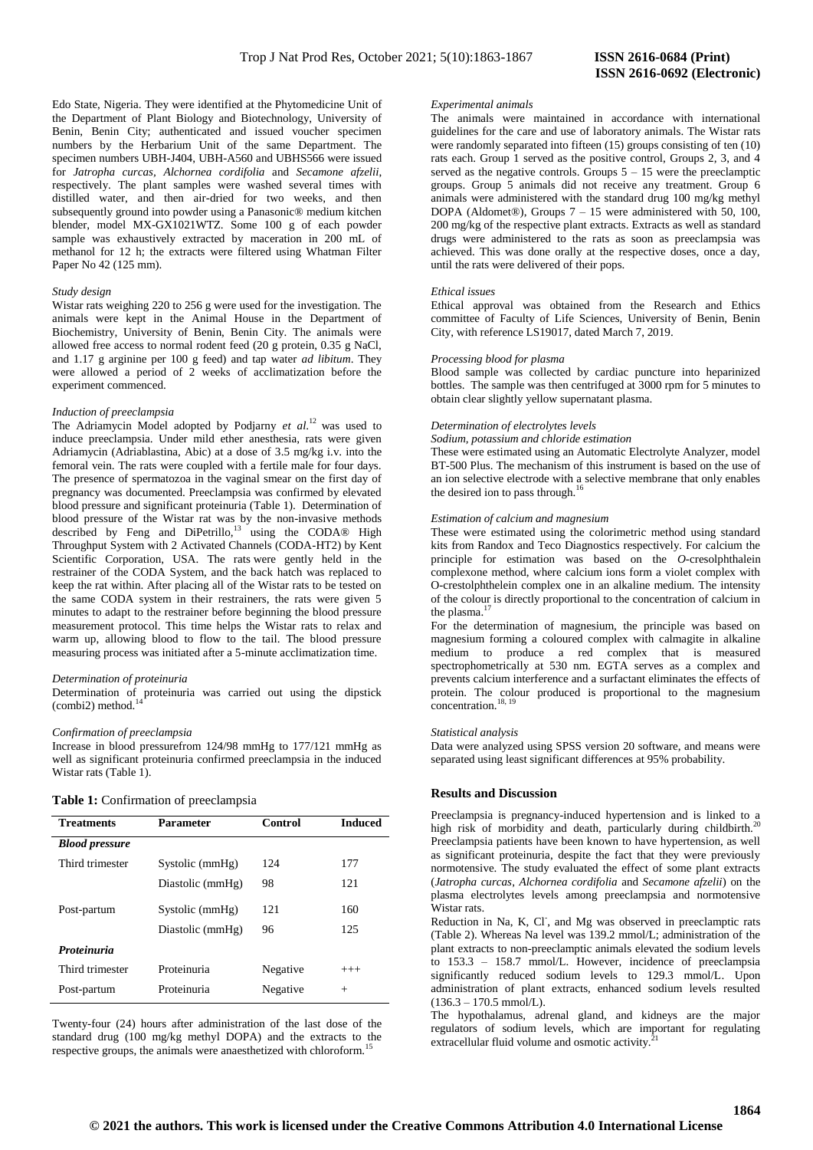Edo State, Nigeria. They were identified at the Phytomedicine Unit of the Department of Plant Biology and Biotechnology, University of Benin, Benin City; authenticated and issued voucher specimen numbers by the Herbarium Unit of the same Department. The specimen numbers UBH-J404, UBH-A560 and UBHS566 were issued for *Jatropha curcas, Alchornea cordifolia* and *Secamone afzelii*, respectively. The plant samples were washed several times with distilled water, and then air-dried for two weeks, and then subsequently ground into powder using a Panasonic® medium kitchen blender, model MX-GX1021WTZ. Some 100 g of each powder sample was exhaustively extracted by maceration in 200 mL of methanol for 12 h; the extracts were filtered using Whatman Filter Paper No 42 (125 mm).

### *Study design*

Wistar rats weighing 220 to 256 g were used for the investigation. The animals were kept in the Animal House in the Department of Biochemistry, University of Benin, Benin City. The animals were allowed free access to normal rodent feed (20 g protein, 0.35 g NaCl, and 1.17 g arginine per 100 g feed) and tap water *ad libitum*. They were allowed a period of 2 weeks of acclimatization before the experiment commenced.

#### *Induction of preeclampsia*

The Adriamycin Model adopted by Podjarny et al.<sup>12</sup> was used to induce preeclampsia. Under mild ether anesthesia, rats were given Adriamycin (Adriablastina, Abic) at a dose of 3.5 mg/kg i.v. into the femoral vein. The rats were coupled with a fertile male for four days. The presence of spermatozoa in the vaginal smear on the first day of pregnancy was documented. Preeclampsia was confirmed by elevated blood pressure and significant proteinuria (Table 1). Determination of blood pressure of the Wistar rat was by the non-invasive methods described by Feng and DiPetrillo,<sup>13</sup> using the CODA® High Throughput System with 2 Activated Channels (CODA-HT2) by Kent Scientific Corporation, USA. The rats were gently held in the restrainer of the CODA System, and the back hatch was replaced to keep the rat within. After placing all of the Wistar rats to be tested on the same CODA system in their restrainers, the rats were given 5 minutes to adapt to the restrainer before beginning the blood pressure measurement protocol. This time helps the Wistar rats to relax and warm up, allowing blood to flow to the tail. The blood pressure measuring process was initiated after a 5-minute acclimatization time.

# *Determination of proteinuria*

Determination of proteinuria was carried out using the dipstick (combi2) method. $14$ 

# *Confirmation of preeclampsia*

Increase in blood pressurefrom 124/98 mmHg to 177/121 mmHg as well as significant proteinuria confirmed preeclampsia in the induced Wistar rats (Table 1).

|  | Table 1: Confirmation of preeclampsia |  |  |
|--|---------------------------------------|--|--|
|--|---------------------------------------|--|--|

| <b>Treatments</b>     | <b>Parameter</b> | Control  | <b>Induced</b> |
|-----------------------|------------------|----------|----------------|
| <b>Blood pressure</b> |                  |          |                |
| Third trimester       | Systolic (mmHg)  | 124      | 177            |
|                       | Diastolic (mmHg) | 98       | 121            |
| Post-partum           | Systolic (mmHg)  | 121      | 160            |
|                       | Diastolic (mmHg) | 96       | 125            |
| <b>Proteinuria</b>    |                  |          |                |
| Third trimester       | Proteinuria      | Negative | $^{+++}$       |
| Post-partum           | Proteinuria      | Negative | $^{+}$         |

Twenty-four (24) hours after administration of the last dose of the standard drug (100 mg/kg methyl DOPA) and the extracts to the respective groups, the animals were anaesthetized with chloroform.

# *Experimental animals*

The animals were maintained in accordance with international guidelines for the care and use of laboratory animals. The Wistar rats were randomly separated into fifteen (15) groups consisting of ten (10) rats each. Group 1 served as the positive control, Groups 2, 3, and 4 served as the negative controls. Groups  $5 - 15$  were the preeclamptic groups. Group 5 animals did not receive any treatment. Group 6 animals were administered with the standard drug 100 mg/kg methyl DOPA (Aldomet®), Groups 7 – 15 were administered with 50, 100, 200 mg/kg of the respective plant extracts. Extracts as well as standard drugs were administered to the rats as soon as preeclampsia was achieved. This was done orally at the respective doses, once a day, until the rats were delivered of their pops.

# *Ethical issues*

Ethical approval was obtained from the Research and Ethics committee of Faculty of Life Sciences, University of Benin, Benin City, with reference LS19017, dated March 7, 2019.

#### *Processing blood for plasma*

Blood sample was collected by cardiac puncture into heparinized bottles. The sample was then centrifuged at 3000 rpm for 5 minutes to obtain clear slightly yellow supernatant plasma.

# *Determination of electrolytes levels*

*Sodium, potassium and chloride estimation*

These were estimated using an Automatic Electrolyte Analyzer, model BT-500 Plus. The mechanism of this instrument is based on the use of an ion selective electrode with a selective membrane that only enables the desired ion to pass through.<sup>16</sup>

### *Estimation of calcium and magnesium*

These were estimated using the colorimetric method using standard kits from Randox and Teco Diagnostics respectively. For calcium the principle for estimation was based on the *O*-cresolphthalein complexone method, where calcium ions form a violet complex with O-crestolphthelein complex one in an alkaline medium. The intensity of the colour is directly proportional to the concentration of calcium in the plasma.<sup>1</sup>

For the determination of magnesium, the principle was based on magnesium forming a coloured complex with calmagite in alkaline medium to produce a red complex that is measured spectrophometrically at 530 nm. EGTA serves as a complex and prevents calcium interference and a surfactant eliminates the effects of protein. The colour produced is proportional to the magnesium concentration.<sup>18, 19</sup>

#### *Statistical analysis*

Data were analyzed using SPSS version 20 software, and means were separated using least significant differences at 95% probability.

# **Results and Discussion**

Preeclampsia is pregnancy-induced hypertension and is linked to a high risk of morbidity and death, particularly during childbirth.<sup>2</sup> Preeclampsia patients have been known to have hypertension, as well as significant proteinuria, despite the fact that they were previously normotensive. The study evaluated the effect of some plant extracts (*Jatropha curcas*, *Alchornea cordifolia* and *Secamone afzelii*) on the plasma electrolytes levels among preeclampsia and normotensive Wistar rats.

Reduction in Na, K, Cl, and Mg was observed in preeclamptic rats (Table 2). Whereas Na level was 139.2 mmol/L; administration of the plant extracts to non-preeclamptic animals elevated the sodium levels to 153.3 – 158.7 mmol/L. However, incidence of preeclampsia significantly reduced sodium levels to 129.3 mmol/L. Upon administration of plant extracts, enhanced sodium levels resulted  $(136.3 - 170.5 \text{ mmol/L}).$ 

The hypothalamus, adrenal gland, and kidneys are the major regulators of sodium levels, which are important for regulating extracellular fluid volume and osmotic activity.<sup>2</sup>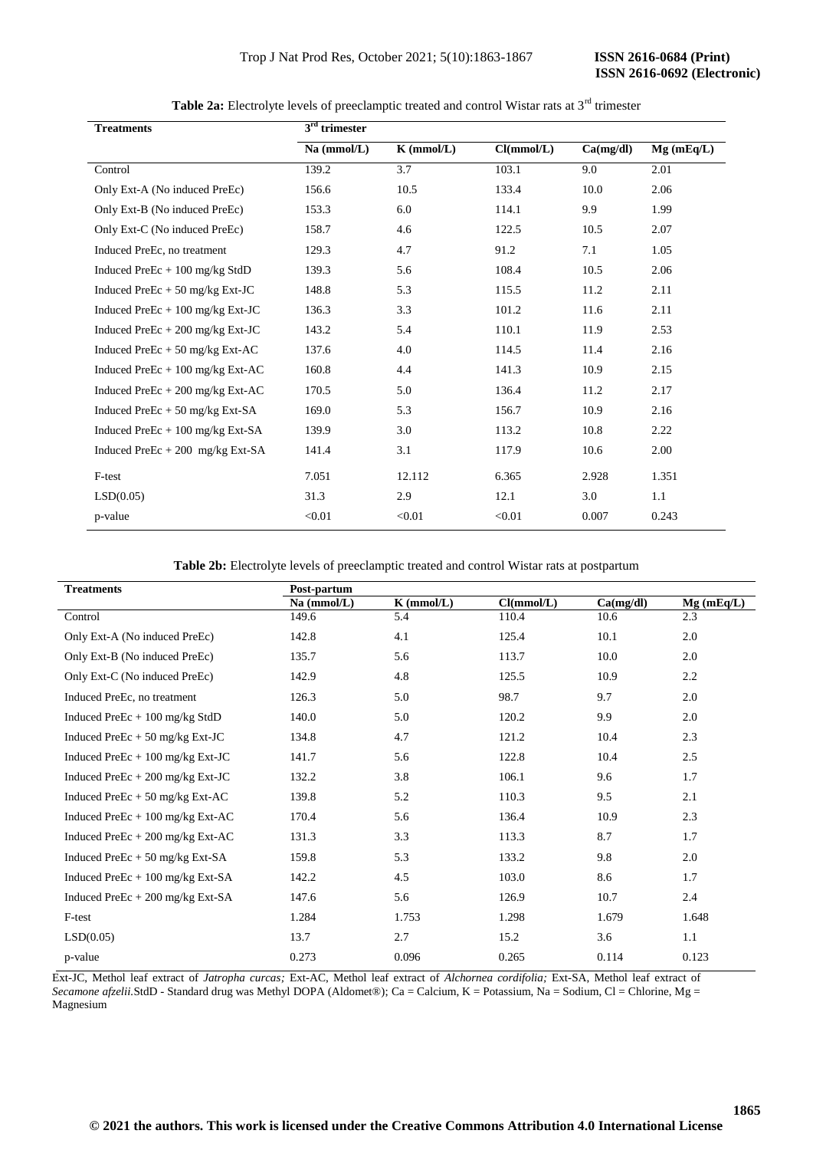| <b>Treatments</b>                 | $3rd$ trimester |              |            |           |           |
|-----------------------------------|-----------------|--------------|------------|-----------|-----------|
|                                   | Na (mmol/L)     | $K$ (mmol/L) | Cl(mmol/L) | Ca(mg/dl) | Mg(mEq/L) |
| Control                           | 139.2           | 3.7          | 103.1      | 9.0       | 2.01      |
| Only Ext-A (No induced PreEc)     | 156.6           | 10.5         | 133.4      | 10.0      | 2.06      |
| Only Ext-B (No induced PreEc)     | 153.3           | 6.0          | 114.1      | 9.9       | 1.99      |
| Only Ext-C (No induced PreEc)     | 158.7           | 4.6          | 122.5      | 10.5      | 2.07      |
| Induced PreEc, no treatment       | 129.3           | 4.7          | 91.2       | 7.1       | 1.05      |
| Induced PreEc $+100$ mg/kg StdD   | 139.3           | 5.6          | 108.4      | 10.5      | 2.06      |
| Induced PreEc $+50$ mg/kg Ext-JC  | 148.8           | 5.3          | 115.5      | 11.2      | 2.11      |
| Induced PreEc $+100$ mg/kg Ext-JC | 136.3           | 3.3          | 101.2      | 11.6      | 2.11      |
| Induced PreEc $+200$ mg/kg Ext-JC | 143.2           | 5.4          | 110.1      | 11.9      | 2.53      |
| Induced PreEc $+50$ mg/kg Ext-AC  | 137.6           | 4.0          | 114.5      | 11.4      | 2.16      |
| Induced PreEc $+100$ mg/kg Ext-AC | 160.8           | 4.4          | 141.3      | 10.9      | 2.15      |
| Induced PreEc + 200 mg/kg Ext-AC  | 170.5           | 5.0          | 136.4      | 11.2      | 2.17      |
| Induced PreEc + 50 mg/kg Ext-SA   | 169.0           | 5.3          | 156.7      | 10.9      | 2.16      |
| Induced PreEc + 100 mg/kg Ext-SA  | 139.9           | 3.0          | 113.2      | 10.8      | 2.22      |
| Induced PreEc $+200$ mg/kg Ext-SA | 141.4           | 3.1          | 117.9      | 10.6      | 2.00      |
| F-test                            | 7.051           | 12.112       | 6.365      | 2.928     | 1.351     |
| LSD(0.05)                         | 31.3            | 2.9          | 12.1       | 3.0       | 1.1       |
| p-value                           | < 0.01          | < 0.01       | < 0.01     | 0.007     | 0.243     |

Table 2a: Electrolyte levels of preeclamptic treated and control Wistar rats at 3<sup>rd</sup> trimester

**Table 2b:** Electrolyte levels of preeclamptic treated and control Wistar rats at postpartum

| <b>Treatments</b>                 | Post-partum   |              |            |           |              |
|-----------------------------------|---------------|--------------|------------|-----------|--------------|
|                                   | $Na$ (mmol/L) | $K$ (mmol/L) | Cl(mmol/L) | Ca(mg/dl) | $Mg$ (mEq/L) |
| Control                           | 149.6         | 5.4          | 110.4      | 10.6      | 2.3          |
| Only Ext-A (No induced PreEc)     | 142.8         | 4.1          | 125.4      | 10.1      | 2.0          |
| Only Ext-B (No induced PreEc)     | 135.7         | 5.6          | 113.7      | 10.0      | 2.0          |
| Only Ext-C (No induced PreEc)     | 142.9         | 4.8          | 125.5      | 10.9      | 2.2          |
| Induced PreEc, no treatment       | 126.3         | 5.0          | 98.7       | 9.7       | 2.0          |
| Induced PreEc $+100$ mg/kg StdD   | 140.0         | 5.0          | 120.2      | 9.9       | 2.0          |
| Induced PreEc $+50$ mg/kg Ext-JC  | 134.8         | 4.7          | 121.2      | 10.4      | 2.3          |
| Induced PreEc $+100$ mg/kg Ext-JC | 141.7         | 5.6          | 122.8      | 10.4      | 2.5          |
| Induced PreEc $+200$ mg/kg Ext-JC | 132.2         | 3.8          | 106.1      | 9.6       | 1.7          |
| Induced PreEc + 50 mg/kg Ext-AC   | 139.8         | 5.2          | 110.3      | 9.5       | 2.1          |
| Induced PreEc $+100$ mg/kg Ext-AC | 170.4         | 5.6          | 136.4      | 10.9      | 2.3          |
| Induced PreEc $+200$ mg/kg Ext-AC | 131.3         | 3.3          | 113.3      | 8.7       | 1.7          |
| Induced PreEc $+50$ mg/kg Ext-SA  | 159.8         | 5.3          | 133.2      | 9.8       | 2.0          |
| Induced PreEc $+100$ mg/kg Ext-SA | 142.2         | 4.5          | 103.0      | 8.6       | 1.7          |
| Induced PreEc $+200$ mg/kg Ext-SA | 147.6         | 5.6          | 126.9      | 10.7      | 2.4          |
| F-test                            | 1.284         | 1.753        | 1.298      | 1.679     | 1.648        |
| LSD(0.05)                         | 13.7          | 2.7          | 15.2       | 3.6       | 1.1          |
| p-value                           | 0.273         | 0.096        | 0.265      | 0.114     | 0.123        |

Ext-JC, Methol leaf extract of *Jatropha curcas;* Ext-AC, Methol leaf extract of *Alchornea cordifolia;* Ext-SA, Methol leaf extract of *Secamone afzelii.StdD* - Standard drug was Methyl DOPA (Aldomet®); Ca = Calcium, K = Potassium, Na = Sodium, Cl = Chlorine, Mg = Magnesium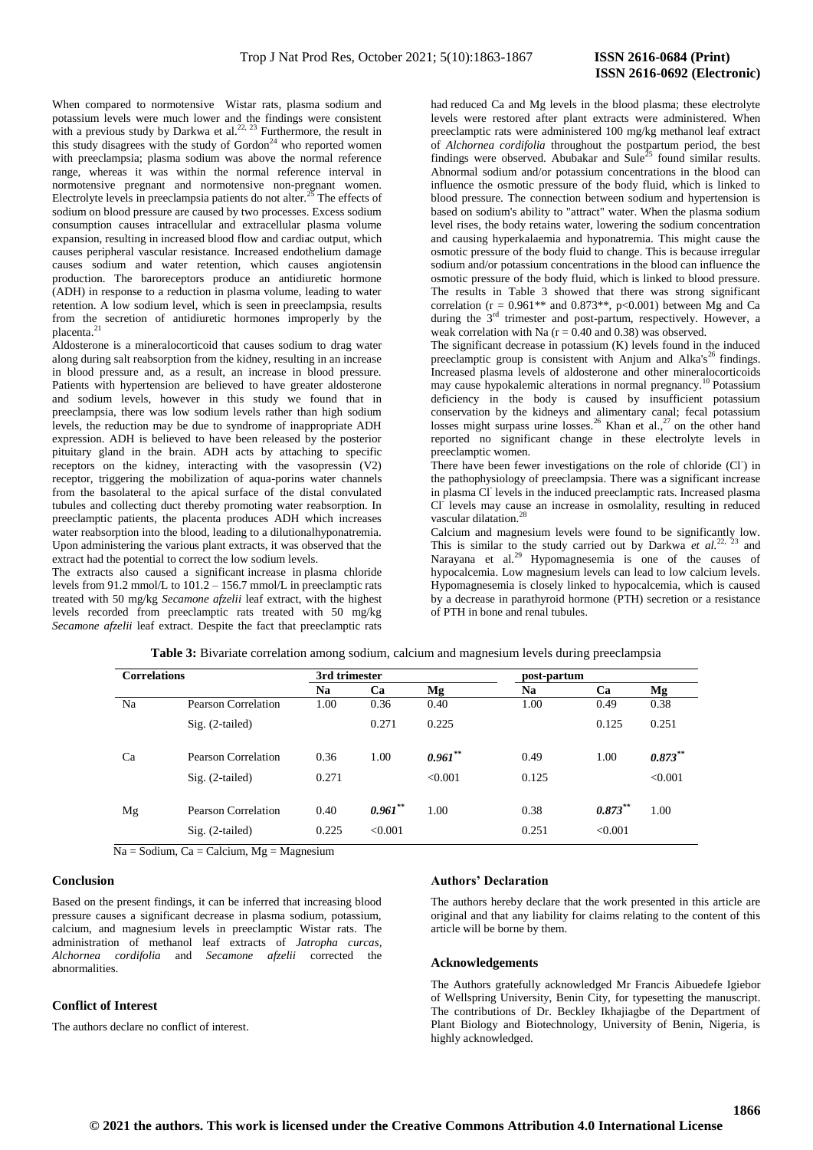When compared to normotensive Wistar rats, plasma sodium and potassium levels were much lower and the findings were consistent with a previous study by Darkwa et al. $^{22, 23}$  Furthermore, the result in this study disagrees with the study of  $Gordon<sup>24</sup>$  who reported women with preeclampsia; plasma sodium was above the normal reference range, whereas it was within the normal reference interval in normotensive pregnant and normotensive non-pregnant women. Electrolyte levels in preeclampsia patients do not alter.<sup>25</sup> The effects of sodium on blood pressure are caused by two processes. Excess sodium consumption causes intracellular and extracellular plasma volume expansion, resulting in increased blood flow and cardiac output, which causes peripheral vascular resistance. Increased endothelium damage causes sodium and water retention, which causes angiotensin production. The baroreceptors produce an antidiuretic hormone (ADH) in response to a reduction in plasma volume, leading to water retention. A low sodium level, which is seen in preeclampsia, results from the secretion of antidiuretic hormones improperly by the placenta.<sup>21</sup>

Aldosterone is a mineralocorticoid that causes sodium to drag water along during salt reabsorption from the kidney, resulting in an increase in blood pressure and, as a result, an increase in blood pressure. Patients with hypertension are believed to have greater aldosterone and sodium levels, however in this study we found that in preeclampsia, there was low sodium levels rather than high sodium levels, the reduction may be due to syndrome of inappropriate ADH expression. ADH is believed to have been released by the posterior pituitary gland in the brain. ADH acts by attaching to specific receptors on the kidney, interacting with the vasopressin (V2) receptor, triggering the mobilization of aqua-porins water channels from the basolateral to the apical surface of the distal convulated tubules and collecting duct thereby promoting water reabsorption. In preeclamptic patients, the placenta produces ADH which increases water reabsorption into the blood, leading to a dilutionalhyponatremia. Upon administering the various plant extracts, it was observed that the extract had the potential to correct the low sodium levels.

The extracts also caused a significant increase in plasma chloride levels from 91.2 mmol/L to 101.2 – 156.7 mmol/L in preeclamptic rats treated with 50 mg/kg *Secamone afzelii* leaf extract, with the highest levels recorded from preeclamptic rats treated with 50 mg/kg *Secamone afzelii* leaf extract. Despite the fact that preeclamptic rats had reduced Ca and Mg levels in the blood plasma; these electrolyte levels were restored after plant extracts were administered. When preeclamptic rats were administered 100 mg/kg methanol leaf extract of *Alchornea cordifolia* throughout the postpartum period, the best findings were observed. Abubakar and  $\text{Sule}^{25}$  found similar results. Abnormal sodium and/or potassium concentrations in the blood can influence the osmotic pressure of the body fluid, which is linked to blood pressure. The connection between sodium and hypertension is based on sodium's ability to "attract" water. When the plasma sodium level rises, the body retains water, lowering the sodium concentration and causing hyperkalaemia and hyponatremia. This might cause the osmotic pressure of the body fluid to change. This is because irregular sodium and/or potassium concentrations in the blood can influence the osmotic pressure of the body fluid, which is linked to blood pressure. The results in Table 3 showed that there was strong significant correlation ( $r = 0.961**$  and  $0.873**$ ,  $p<0.001$ ) between Mg and Ca during the 3<sup>rd</sup> trimester and post-partum, respectively. However, a weak correlation with Na ( $r = 0.40$  and 0.38) was observed.

The significant decrease in potassium (K) levels found in the induced preeclamptic group is consistent with Anjum and Alka's<sup>26</sup> findings. Increased plasma levels of aldosterone and other mineralocorticoids may cause hypokalemic alterations in normal pregnancy.<sup>10</sup> Potassium deficiency in the body is caused by insufficient potassium conservation by the kidneys and alimentary canal; fecal potassium losses might surpass urine losses.<sup>26</sup> Khan et al.,<sup>27</sup> on the other hand reported no significant change in these electrolyte levels in preeclamptic women.

There have been fewer investigations on the role of chloride (CI) in the pathophysiology of preeclampsia. There was a significant increase in plasma Cl-levels in the induced preeclamptic rats. Increased plasma Cl<sup>-</sup> levels may cause an increase in osmolality, resulting in reduced vascular dilatation.<sup>28</sup>

Calcium and magnesium levels were found to be significantly low. This is similar to the study carried out by Darkwa  $et$   $al.^{22, 23}$  and Narayana et al.<sup>29</sup> Hypomagnesemia is one of the causes of hypocalcemia. Low magnesium levels can lead to low calcium levels. Hypomagnesemia is closely linked to hypocalcemia, which is caused by a decrease in parathyroid hormone (PTH) secretion or a resistance of PTH in bone and renal tubules.

| <b>Correlations</b> |                     | 3rd trimester |           |            | post-partum |            |            |
|---------------------|---------------------|---------------|-----------|------------|-------------|------------|------------|
|                     |                     | Na            | Ca        | Mg         | Na          | Ca         | Mg         |
| Na                  | Pearson Correlation | 1.00          | 0.36      | 0.40       | 1.00        | 0.49       | 0.38       |
|                     | $Sig. (2-tailed)$   |               | 0.271     | 0.225      |             | 0.125      | 0.251      |
| Ca                  | Pearson Correlation | 0.36          | 1.00      | $0.961***$ | 0.49        | 1.00       | $0.873***$ |
|                     | Sig. (2-tailed)     | 0.271         |           | < 0.001    | 0.125       |            | < 0.001    |
| Mg                  | Pearson Correlation | 0.40          | $0.961**$ | 1.00       | 0.38        | $0.873***$ | 1.00       |
|                     | $Sig. (2-tailed)$   | 0.225         | < 0.001   |            | 0.251       | < 0.001    |            |

**Table 3:** Bivariate correlation among sodium, calcium and magnesium levels during preeclampsia

 $Na =$  Sodium, Ca = Calcium, Mg = Magnesium

#### **Conclusion**

Based on the present findings, it can be inferred that increasing blood pressure causes a significant decrease in plasma sodium, potassium, calcium, and magnesium levels in preeclamptic Wistar rats. The administration of methanol leaf extracts of *Jatropha curcas, Alchornea cordifolia* and *Secamone afzelii* corrected the abnormalities.

# **Conflict of Interest**

The authors declare no conflict of interest.

#### **Authors' Declaration**

The authors hereby declare that the work presented in this article are original and that any liability for claims relating to the content of this article will be borne by them.

## **Acknowledgements**

The Authors gratefully acknowledged Mr Francis Aibuedefe Igiebor of Wellspring University, Benin City, for typesetting the manuscript. The contributions of Dr. Beckley Ikhajiagbe of the Department of Plant Biology and Biotechnology, University of Benin, Nigeria, is highly acknowledged.